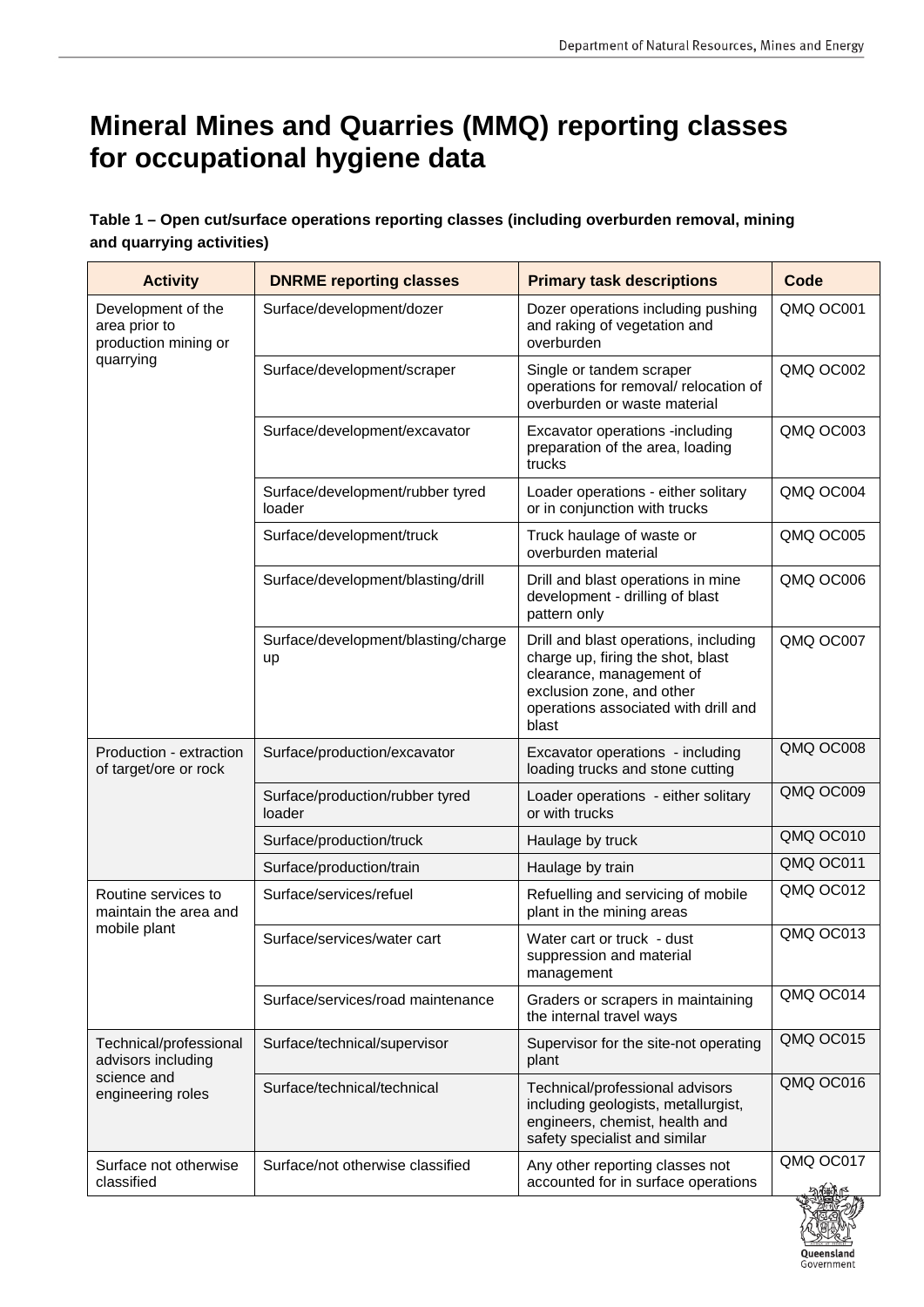## **Mineral Mines and Quarries (MMQ) reporting classes for occupational hygiene data**

## **Table 1 – Open cut/surface operations reporting classes (including overburden removal, mining and quarrying activities)**

| <b>Activity</b>                                                                  | <b>DNRME reporting classes</b>             | <b>Primary task descriptions</b>                                                                                                                                                     | Code      |
|----------------------------------------------------------------------------------|--------------------------------------------|--------------------------------------------------------------------------------------------------------------------------------------------------------------------------------------|-----------|
| Development of the<br>area prior to<br>production mining or<br>quarrying         | Surface/development/dozer                  | Dozer operations including pushing<br>and raking of vegetation and<br>overburden                                                                                                     | QMQ OC001 |
|                                                                                  | Surface/development/scraper                | Single or tandem scraper<br>operations for removal/ relocation of<br>overburden or waste material                                                                                    | QMQ OC002 |
|                                                                                  | Surface/development/excavator              | Excavator operations -including<br>preparation of the area, loading<br>trucks                                                                                                        | QMQ OC003 |
|                                                                                  | Surface/development/rubber tyred<br>loader | Loader operations - either solitary<br>or in conjunction with trucks                                                                                                                 | QMQ OC004 |
|                                                                                  | Surface/development/truck                  | Truck haulage of waste or<br>overburden material                                                                                                                                     | QMQ OC005 |
|                                                                                  | Surface/development/blasting/drill         | Drill and blast operations in mine<br>development - drilling of blast<br>pattern only                                                                                                | QMQ OC006 |
|                                                                                  | Surface/development/blasting/charge<br>up  | Drill and blast operations, including<br>charge up, firing the shot, blast<br>clearance, management of<br>exclusion zone, and other<br>operations associated with drill and<br>blast | QMQ OC007 |
| Production - extraction<br>of target/ore or rock                                 | Surface/production/excavator               | Excavator operations - including<br>loading trucks and stone cutting                                                                                                                 | QMQ OC008 |
|                                                                                  | Surface/production/rubber tyred<br>loader  | Loader operations - either solitary<br>or with trucks                                                                                                                                | QMQ OC009 |
|                                                                                  | Surface/production/truck                   | Haulage by truck                                                                                                                                                                     | QMQ OC010 |
|                                                                                  | Surface/production/train                   | Haulage by train                                                                                                                                                                     | QMQ OC011 |
| Routine services to<br>maintain the area and<br>mobile plant                     | Surface/services/refuel                    | Refuelling and servicing of mobile<br>plant in the mining areas                                                                                                                      | QMQ OC012 |
|                                                                                  | Surface/services/water cart                | Water cart or truck - dust<br>suppression and material<br>management                                                                                                                 | QMQ OC013 |
|                                                                                  | Surface/services/road maintenance          | Graders or scrapers in maintaining<br>the internal travel ways                                                                                                                       | QMQ OC014 |
| Technical/professional<br>advisors including<br>science and<br>engineering roles | Surface/technical/supervisor               | Supervisor for the site-not operating<br>plant                                                                                                                                       | QMQ OC015 |
|                                                                                  | Surface/technical/technical                | Technical/professional advisors<br>including geologists, metallurgist,<br>engineers, chemist, health and<br>safety specialist and similar                                            | QMQ OC016 |
| Surface not otherwise<br>classified                                              | Surface/not otherwise classified           | Any other reporting classes not<br>accounted for in surface operations                                                                                                               | QMQ OC017 |

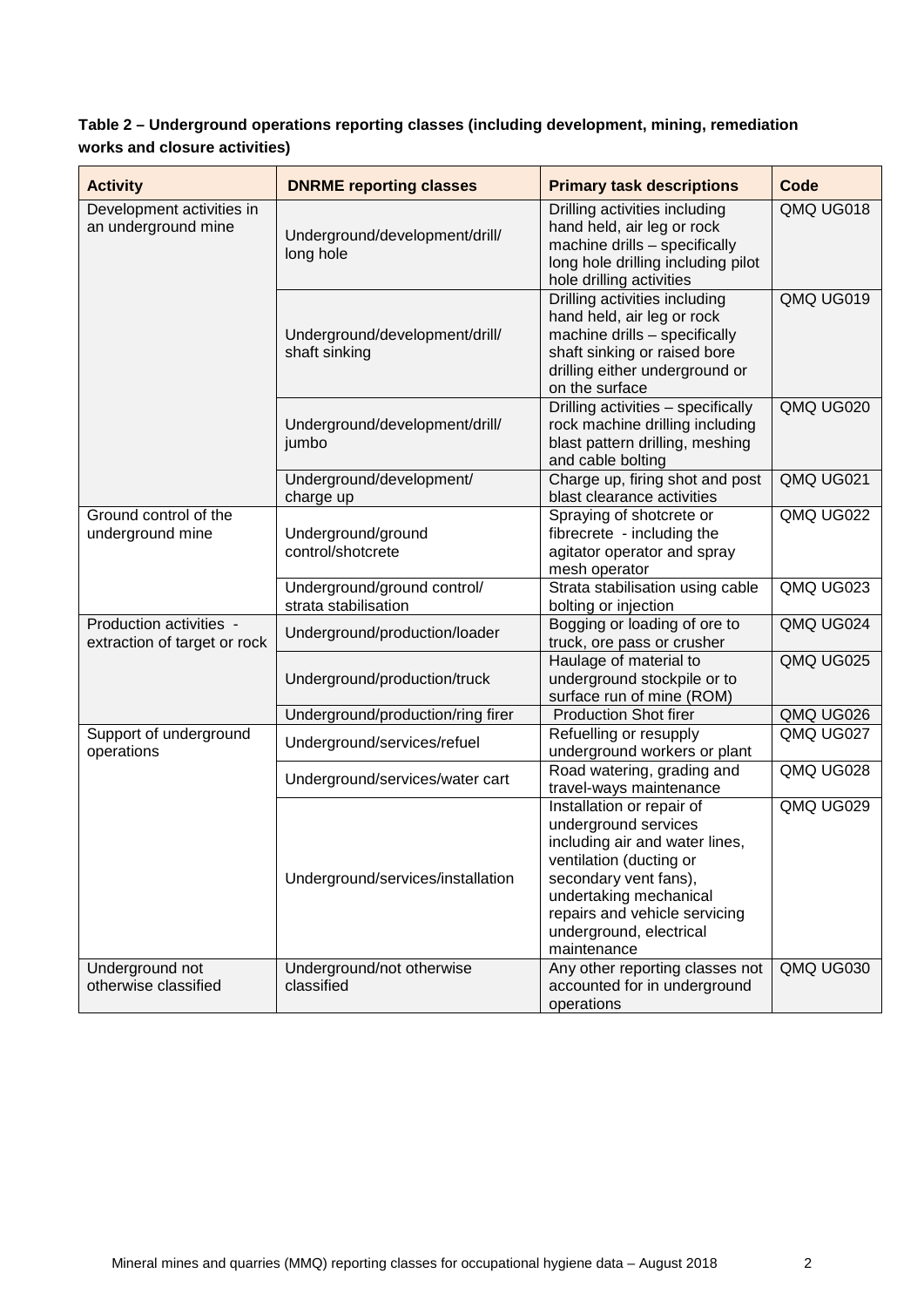## **Table 2 – Underground operations reporting classes (including development, mining, remediation works and closure activities)**

| <b>Activity</b>                                         | <b>DNRME reporting classes</b>                      | <b>Primary task descriptions</b>                                                                                                                                                                                                                    | Code      |
|---------------------------------------------------------|-----------------------------------------------------|-----------------------------------------------------------------------------------------------------------------------------------------------------------------------------------------------------------------------------------------------------|-----------|
| Development activities in<br>an underground mine        | Underground/development/drill/<br>long hole         | Drilling activities including<br>hand held, air leg or rock<br>machine drills - specifically<br>long hole drilling including pilot<br>hole drilling activities                                                                                      | QMQ UG018 |
|                                                         | Underground/development/drill/<br>shaft sinking     | Drilling activities including<br>hand held, air leg or rock<br>machine drills - specifically<br>shaft sinking or raised bore<br>drilling either underground or<br>on the surface                                                                    | QMQ UG019 |
|                                                         | Underground/development/drill/<br>jumbo             | Drilling activities - specifically<br>rock machine drilling including<br>blast pattern drilling, meshing<br>and cable bolting                                                                                                                       | QMQ UG020 |
|                                                         | Underground/development/<br>charge up               | Charge up, firing shot and post<br>blast clearance activities                                                                                                                                                                                       | QMQ UG021 |
| Ground control of the<br>underground mine               | Underground/ground<br>control/shotcrete             | Spraying of shotcrete or<br>fibrecrete - including the<br>agitator operator and spray<br>mesh operator                                                                                                                                              | QMQ UG022 |
|                                                         | Underground/ground control/<br>strata stabilisation | Strata stabilisation using cable<br>bolting or injection                                                                                                                                                                                            | QMQ UG023 |
| Production activities -<br>extraction of target or rock | Underground/production/loader                       | Bogging or loading of ore to<br>truck, ore pass or crusher                                                                                                                                                                                          | QMQ UG024 |
|                                                         | Underground/production/truck                        | Haulage of material to<br>underground stockpile or to<br>surface run of mine (ROM)                                                                                                                                                                  | QMQ UG025 |
|                                                         | Underground/production/ring firer                   | <b>Production Shot firer</b>                                                                                                                                                                                                                        | QMQ UG026 |
| Support of underground<br>operations                    | Underground/services/refuel                         | Refuelling or resupply<br>underground workers or plant                                                                                                                                                                                              | QMQ UG027 |
|                                                         | Underground/services/water cart                     | Road watering, grading and<br>travel-ways maintenance                                                                                                                                                                                               | QMQ UG028 |
|                                                         | Underground/services/installation                   | <b>Installation or repair of</b><br>underground services<br>including air and water lines,<br>ventilation (ducting or<br>secondary vent fans),<br>undertaking mechanical<br>repairs and vehicle servicing<br>underground, electrical<br>maintenance | QMQ UG029 |
| Underground not<br>otherwise classified                 | Underground/not otherwise<br>classified             | Any other reporting classes not<br>accounted for in underground<br>operations                                                                                                                                                                       | QMQ UG030 |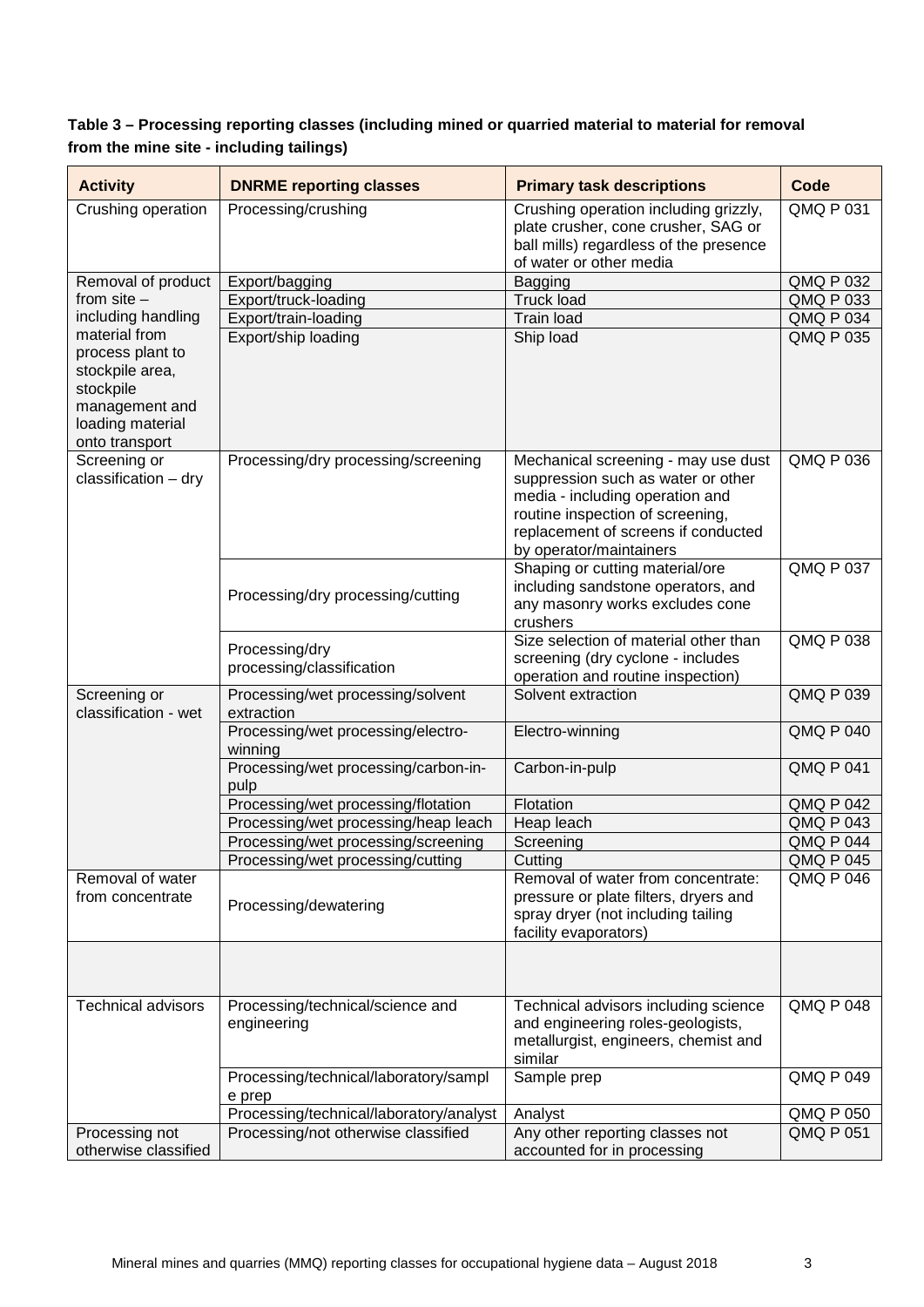**from the mine site - including tailings) Table 3 – Processing reporting classes (including mined or quarried material to material for removal** 

| <b>Activity</b>                                                                                                           | <b>DNRME reporting classes</b>                  | <b>Primary task descriptions</b>                                                                                                                                                                                   | Code             |
|---------------------------------------------------------------------------------------------------------------------------|-------------------------------------------------|--------------------------------------------------------------------------------------------------------------------------------------------------------------------------------------------------------------------|------------------|
| Crushing operation                                                                                                        | Processing/crushing                             | Crushing operation including grizzly,<br>plate crusher, cone crusher, SAG or<br>ball mills) regardless of the presence<br>of water or other media                                                                  | QMQ P 031        |
| Removal of product                                                                                                        | Export/bagging                                  | <b>Bagging</b>                                                                                                                                                                                                     | <b>QMQ P 032</b> |
| from $site -$                                                                                                             | Export/truck-loading                            | <b>Truck load</b>                                                                                                                                                                                                  | <b>QMQ P 033</b> |
| including handling                                                                                                        | Export/train-loading                            | <b>Train load</b>                                                                                                                                                                                                  | <b>QMQ P 034</b> |
| material from<br>process plant to<br>stockpile area,<br>stockpile<br>management and<br>loading material<br>onto transport | Export/ship loading                             | Ship load                                                                                                                                                                                                          | QMQ P 035        |
| Screening or<br>classification - dry                                                                                      | Processing/dry processing/screening             | Mechanical screening - may use dust<br>suppression such as water or other<br>media - including operation and<br>routine inspection of screening,<br>replacement of screens if conducted<br>by operator/maintainers | QMQ P 036        |
|                                                                                                                           | Processing/dry processing/cutting               | Shaping or cutting material/ore<br>including sandstone operators, and<br>any masonry works excludes cone<br>crushers                                                                                               | <b>QMQ P 037</b> |
|                                                                                                                           | Processing/dry                                  | Size selection of material other than                                                                                                                                                                              | <b>QMQ P 038</b> |
|                                                                                                                           | processing/classification                       | screening (dry cyclone - includes                                                                                                                                                                                  |                  |
|                                                                                                                           |                                                 | operation and routine inspection)                                                                                                                                                                                  |                  |
| Screening or<br>classification - wet                                                                                      | Processing/wet processing/solvent<br>extraction | Solvent extraction                                                                                                                                                                                                 | <b>QMQ P 039</b> |
|                                                                                                                           | Processing/wet processing/electro-<br>winning   | Electro-winning                                                                                                                                                                                                    | <b>QMQ P 040</b> |
|                                                                                                                           | Processing/wet processing/carbon-in-<br>pulp    | Carbon-in-pulp                                                                                                                                                                                                     | <b>QMQ P 041</b> |
|                                                                                                                           | Processing/wet processing/flotation             | Flotation                                                                                                                                                                                                          | <b>QMQ P 042</b> |
|                                                                                                                           | Processing/wet processing/heap leach            | Heap leach                                                                                                                                                                                                         | <b>QMQ P 043</b> |
|                                                                                                                           | Processing/wet processing/screening             | Screening                                                                                                                                                                                                          | <b>QMQ P 044</b> |
|                                                                                                                           | Processing/wet processing/cutting               | Cutting                                                                                                                                                                                                            | <b>QMQ P 045</b> |
| Removal of water<br>from concentrate                                                                                      | Processing/dewatering                           | Removal of water from concentrate:<br>pressure or plate filters, dryers and<br>spray dryer (not including tailing<br>facility evaporators)                                                                         | <b>QMQ P 046</b> |
|                                                                                                                           |                                                 |                                                                                                                                                                                                                    |                  |
| <b>Technical advisors</b>                                                                                                 | Processing/technical/science and<br>engineering | Technical advisors including science<br>and engineering roles-geologists,<br>metallurgist, engineers, chemist and<br>similar                                                                                       | <b>QMQ P 048</b> |
|                                                                                                                           | Processing/technical/laboratory/sampl<br>e prep | Sample prep                                                                                                                                                                                                        | <b>QMQ P 049</b> |
|                                                                                                                           | Processing/technical/laboratory/analyst         | Analyst                                                                                                                                                                                                            | QMQ P 050        |
| Processing not<br>otherwise classified                                                                                    | Processing/not otherwise classified             | Any other reporting classes not<br>accounted for in processing                                                                                                                                                     | <b>QMQ P 051</b> |